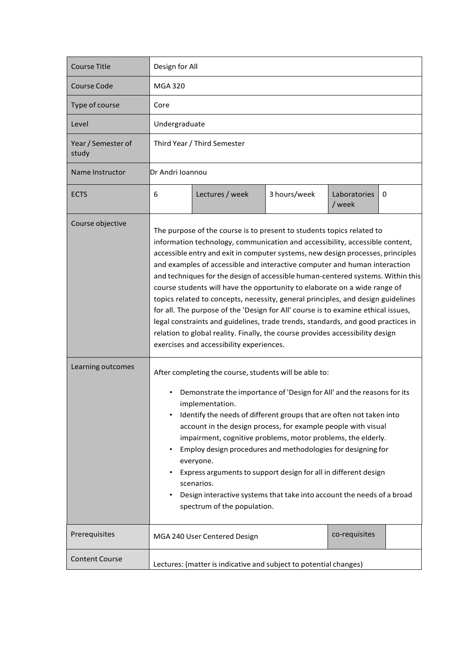| <b>Course Title</b>         | Design for All                                                                                                                                                                                                                                                                                                                                                                                                                                                                                                                                                                                                                                                                                                                                                                                                                                                                  |                              |              |                        |   |
|-----------------------------|---------------------------------------------------------------------------------------------------------------------------------------------------------------------------------------------------------------------------------------------------------------------------------------------------------------------------------------------------------------------------------------------------------------------------------------------------------------------------------------------------------------------------------------------------------------------------------------------------------------------------------------------------------------------------------------------------------------------------------------------------------------------------------------------------------------------------------------------------------------------------------|------------------------------|--------------|------------------------|---|
| Course Code                 | <b>MGA 320</b>                                                                                                                                                                                                                                                                                                                                                                                                                                                                                                                                                                                                                                                                                                                                                                                                                                                                  |                              |              |                        |   |
| Type of course              | Core                                                                                                                                                                                                                                                                                                                                                                                                                                                                                                                                                                                                                                                                                                                                                                                                                                                                            |                              |              |                        |   |
| Level                       | Undergraduate                                                                                                                                                                                                                                                                                                                                                                                                                                                                                                                                                                                                                                                                                                                                                                                                                                                                   |                              |              |                        |   |
| Year / Semester of<br>study | Third Year / Third Semester                                                                                                                                                                                                                                                                                                                                                                                                                                                                                                                                                                                                                                                                                                                                                                                                                                                     |                              |              |                        |   |
| Name Instructor             | Dr Andri Ioannou                                                                                                                                                                                                                                                                                                                                                                                                                                                                                                                                                                                                                                                                                                                                                                                                                                                                |                              |              |                        |   |
| <b>ECTS</b>                 | 6                                                                                                                                                                                                                                                                                                                                                                                                                                                                                                                                                                                                                                                                                                                                                                                                                                                                               | Lectures / week              | 3 hours/week | Laboratories<br>/ week | 0 |
| Course objective            | The purpose of the course is to present to students topics related to<br>information technology, communication and accessibility, accessible content,<br>accessible entry and exit in computer systems, new design processes, principles<br>and examples of accessible and interactive computer and human interaction<br>and techniques for the design of accessible human-centered systems. Within this<br>course students will have the opportunity to elaborate on a wide range of<br>topics related to concepts, necessity, general principles, and design guidelines<br>for all. The purpose of the 'Design for All' course is to examine ethical issues,<br>legal constraints and guidelines, trade trends, standards, and good practices in<br>relation to global reality. Finally, the course provides accessibility design<br>exercises and accessibility experiences. |                              |              |                        |   |
| Learning outcomes           | After completing the course, students will be able to:<br>Demonstrate the importance of 'Design for All' and the reasons for its<br>implementation.<br>Identify the needs of different groups that are often not taken into<br>account in the design process, for example people with visual<br>impairment, cognitive problems, motor problems, the elderly.<br>Employ design procedures and methodologies for designing for<br>everyone.<br>Express arguments to support design for all in different design<br>scenarios.<br>Design interactive systems that take into account the needs of a broad<br>spectrum of the population.                                                                                                                                                                                                                                             |                              |              |                        |   |
| Prerequisites               |                                                                                                                                                                                                                                                                                                                                                                                                                                                                                                                                                                                                                                                                                                                                                                                                                                                                                 | MGA 240 User Centered Design |              | co-requisites          |   |
| <b>Content Course</b>       | Lectures: (matter is indicative and subject to potential changes)                                                                                                                                                                                                                                                                                                                                                                                                                                                                                                                                                                                                                                                                                                                                                                                                               |                              |              |                        |   |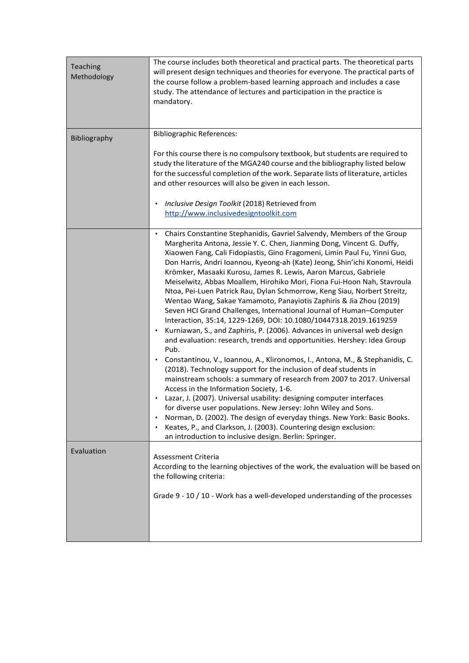| Teaching<br>Methodology | The course includes both theoretical and practical parts. The theoretical parts<br>will present design techniques and theories for everyone. The practical parts of<br>the course follow a problem-based learning approach and includes a case<br>study. The attendance of lectures and participation in the practice is<br>mandatory.                                                                                                                                                                                                                                                                                                                                                                                                                                                                                                                                                                                                                                                                                                                                                                                                                                                                                                                                                                                                                                                                                                                                                                                                                            |
|-------------------------|-------------------------------------------------------------------------------------------------------------------------------------------------------------------------------------------------------------------------------------------------------------------------------------------------------------------------------------------------------------------------------------------------------------------------------------------------------------------------------------------------------------------------------------------------------------------------------------------------------------------------------------------------------------------------------------------------------------------------------------------------------------------------------------------------------------------------------------------------------------------------------------------------------------------------------------------------------------------------------------------------------------------------------------------------------------------------------------------------------------------------------------------------------------------------------------------------------------------------------------------------------------------------------------------------------------------------------------------------------------------------------------------------------------------------------------------------------------------------------------------------------------------------------------------------------------------|
| Bibliography            | <b>Bibliographic References:</b><br>For this course there is no compulsory textbook, but students are required to<br>study the literature of the MGA240 course and the bibliography listed below<br>for the successful completion of the work. Separate lists of literature, articles<br>and other resources will also be given in each lesson.<br>Inclusive Design Toolkit (2018) Retrieved from<br>http://www.inclusivedesigntoolkit.com                                                                                                                                                                                                                                                                                                                                                                                                                                                                                                                                                                                                                                                                                                                                                                                                                                                                                                                                                                                                                                                                                                                        |
|                         | Chairs Constantine Stephanidis, Gavriel Salvendy, Members of the Group<br>$\bullet$<br>Margherita Antona, Jessie Y. C. Chen, Jianming Dong, Vincent G. Duffy,<br>Xiaowen Fang, Cali Fidopiastis, Gino Fragomeni, Limin Paul Fu, Yinni Guo,<br>Don Harris, Andri Ioannou, Kyeong-ah (Kate) Jeong, Shin'ichi Konomi, Heidi<br>Krömker, Masaaki Kurosu, James R. Lewis, Aaron Marcus, Gabriele<br>Meiselwitz, Abbas Moallem, Hirohiko Mori, Fiona Fui-Hoon Nah, Stavroula<br>Ntoa, Pei-Luen Patrick Rau, Dylan Schmorrow, Keng Siau, Norbert Streitz,<br>Wentao Wang, Sakae Yamamoto, Panayiotis Zaphiris & Jia Zhou (2019)<br>Seven HCI Grand Challenges, International Journal of Human-Computer<br>Interaction, 35:14, 1229-1269, DOI: 10.1080/10447318.2019.1619259<br>Kurniawan, S., and Zaphiris, P. (2006). Advances in universal web design<br>and evaluation: research, trends and opportunities. Hershey: Idea Group<br>Pub.<br>Constantinou, V., Ioannou, A., Klironomos, I., Antona, M., & Stephanidis, C.<br>(2018). Technology support for the inclusion of deaf students in<br>mainstream schools: a summary of research from 2007 to 2017. Universal<br>Access in the Information Society, 1-6.<br>Lazar, J. (2007). Universal usability: designing computer interfaces<br>for diverse user populations. New Jersey: John Wiley and Sons.<br>Norman, D. (2002). The design of everyday things. New York: Basic Books.<br>Keates, P., and Clarkson, J. (2003). Countering design exclusion:<br>an introduction to inclusive design. Berlin: Springer. |
| Evaluation              | Assessment Criteria<br>According to the learning objectives of the work, the evaluation will be based on<br>the following criteria:<br>Grade 9 - 10 / 10 - Work has a well-developed understanding of the processes                                                                                                                                                                                                                                                                                                                                                                                                                                                                                                                                                                                                                                                                                                                                                                                                                                                                                                                                                                                                                                                                                                                                                                                                                                                                                                                                               |